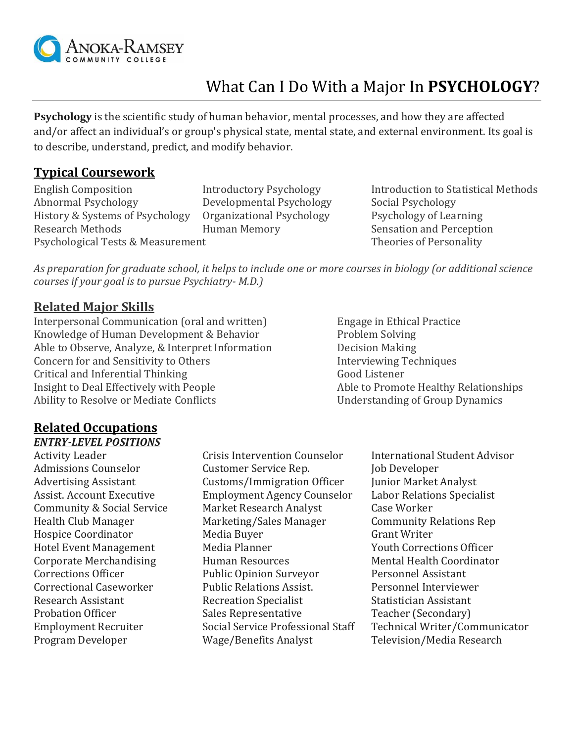

# What Can I Do With a Major In **PSYCHOLOGY**?

**Psychology** is the scientific study of human behavior, mental processes, and how they are affected and/or affect an individual's or group's physical state, mental state, and external environment. Its goal is to describe, understand, predict, and modify behavior.

### **Typical Coursework**

Abnormal Psychology Developmental Psychology Social Psychology History & Systems of Psychology Organizational Psychology Psychology of Learning Research Methods **Human Memory** Sensation and Perception Psychological Tests & Measurement Theories of Personality

English Composition Introductory Psychology Introduction to Statistical Methods

*As preparation for graduate school, it helps to include one or more courses in biology (or additional science courses if your goal is to pursue Psychiatry- M.D.)*

#### **Related Major Skills**

Interpersonal Communication (oral and written) Engage in Ethical Practice Knowledge of Human Development & Behavior Problem Solving Able to Observe, Analyze, & Interpret Information Decision Making Concern for and Sensitivity to Others Interviewing Techniques Critical and Inferential Thinking Good Listener Insight to Deal Effectively with People Able to Promote Healthy Relationships Ability to Resolve or Mediate Conflicts **Exercise 2.1 September 2.1 September 2.1 September 2.1 September 2.1 September 2.1 September 2.1 September 2.1 September 2.1 September 2.1 September 2.1 September 2.1 September 2.1** 

## **Related Occupations**

#### *ENTRY-LEVEL POSITIONS*

Activity Leader Crisis Intervention Counselor International Student Advisor Admissions Counselor **Customer Service Rep.** Job Developer Advertising Assistant Customs/Immigration Officer Junior Market Analyst Assist. Account Executive Employment Agency Counselor Labor Relations Specialist Community & Social Service Market Research Analyst Case Worker Health Club Manager Marketing/Sales Manager Community Relations Rep Hospice Coordinator Media Buyer Grant Writer Hotel Event Management Media Planner Media Plant Vouth Corrections Officer Corporate Merchandising Thuman Resources Thuman Resources Mental Health Coordinator Corrections Officer Public Opinion Surveyor Personnel Assistant Correctional Caseworker Public Relations Assist. Personnel Interviewer Research Assistant The Recreation Specialist The Statistician Assistant Probation Officer Sales Representative Teacher (Secondary) Program Developer **Wage/Benefits Analyst** Television/Media Research

Employment Recruiter Social Service Professional Staff Technical Writer/Communicator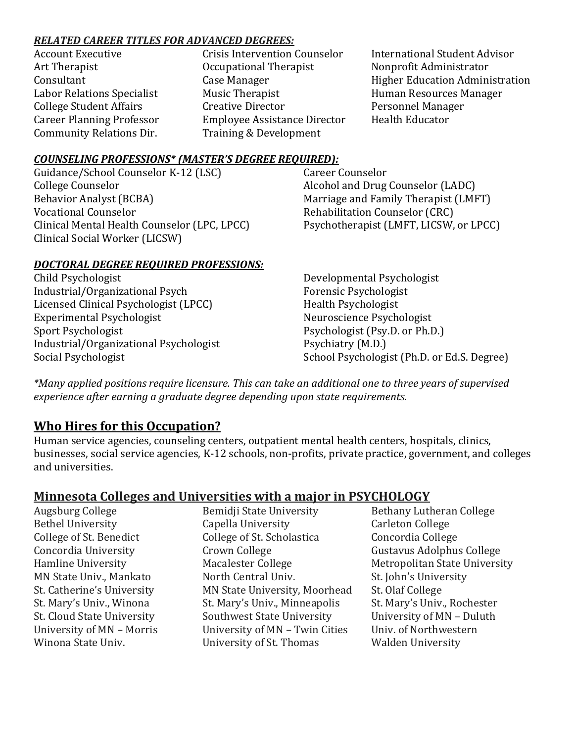#### *RELATED CAREER TITLES FOR ADVANCED DEGREES:*

| <b>Account Executive</b>         |
|----------------------------------|
| Art Therapist                    |
| Consultant                       |
| Labor Relations Specialist       |
| <b>College Student Affairs</b>   |
| <b>Career Planning Professor</b> |
| <b>Community Relations Dir.</b>  |
|                                  |

Occupational Therapist Nonprofit Administrator Music Therapist **Music Therapist** Music Therapist Music Resources Manager Creative Director **Creative Director** Personnel Manager Employee Assistance Director Health Educator Training & Development

Crisis Intervention Counselor International Student Advisor Case Manager The Case Manager Higher Education Administration

#### *COUNSELING PROFESSIONS\* (MASTER'S DEGREE REQUIRED):*

Guidance/School Counselor K-12 (LSC) College Counselor Behavior Analyst (BCBA) Vocational Counselor Clinical Mental Health Counselor (LPC, LPCC) Clinical Social Worker (LICSW)

#### *DOCTORAL DEGREE REQUIRED PROFESSIONS:*

Child Psychologist Industrial/Organizational Psych Licensed Clinical Psychologist (LPCC) Experimental Psychologist Sport Psychologist Industrial/Organizational Psychologist Social Psychologist

Career Counselor Alcohol and Drug Counselor (LADC) Marriage and Family Therapist (LMFT) Rehabilitation Counselor (CRC) Psychotherapist (LMFT, LICSW, or LPCC)

Developmental Psychologist Forensic Psychologist Health Psychologist Neuroscience Psychologist Psychologist (Psy.D. or Ph.D.) Psychiatry (M.D.) School Psychologist (Ph.D. or Ed.S. Degree)

*\*Many applied positions require licensure. This can take an additional one to three years of supervised experience after earning a graduate degree depending upon state requirements.*

## **Who Hires for this Occupation?**

Human service agencies, counseling centers, outpatient mental health centers, hospitals, clinics, businesses, social service agencies, K-12 schools, non-profits, private practice, government, and colleges and universities.

## **Minnesota Colleges and Universities with a major in PSYCHOLOGY**

Augsburg College The Bemidii State University Bethany Lutheran College

Bethel University Capella University Carleton College College of St. Benedict College of St. Scholastica Concordia College Concordia University Crown College Gustavus Adolphus College Hamline University **Macalester College** Metropolitan State University MN State Univ., Mankato North Central Univ. St. John's University St. Catherine's University MN State University, Moorhead St. Olaf College St. Mary's Univ., Winona St. Mary's Univ., Minneapolis St. Mary's Univ., Rochester St. Cloud State University Southwest State University University of MN – Duluth University of MN – Morris University of MN – Twin Cities Univ. of Northwestern Winona State Univ. Thomas Winona State University of St. Thomas Walden University